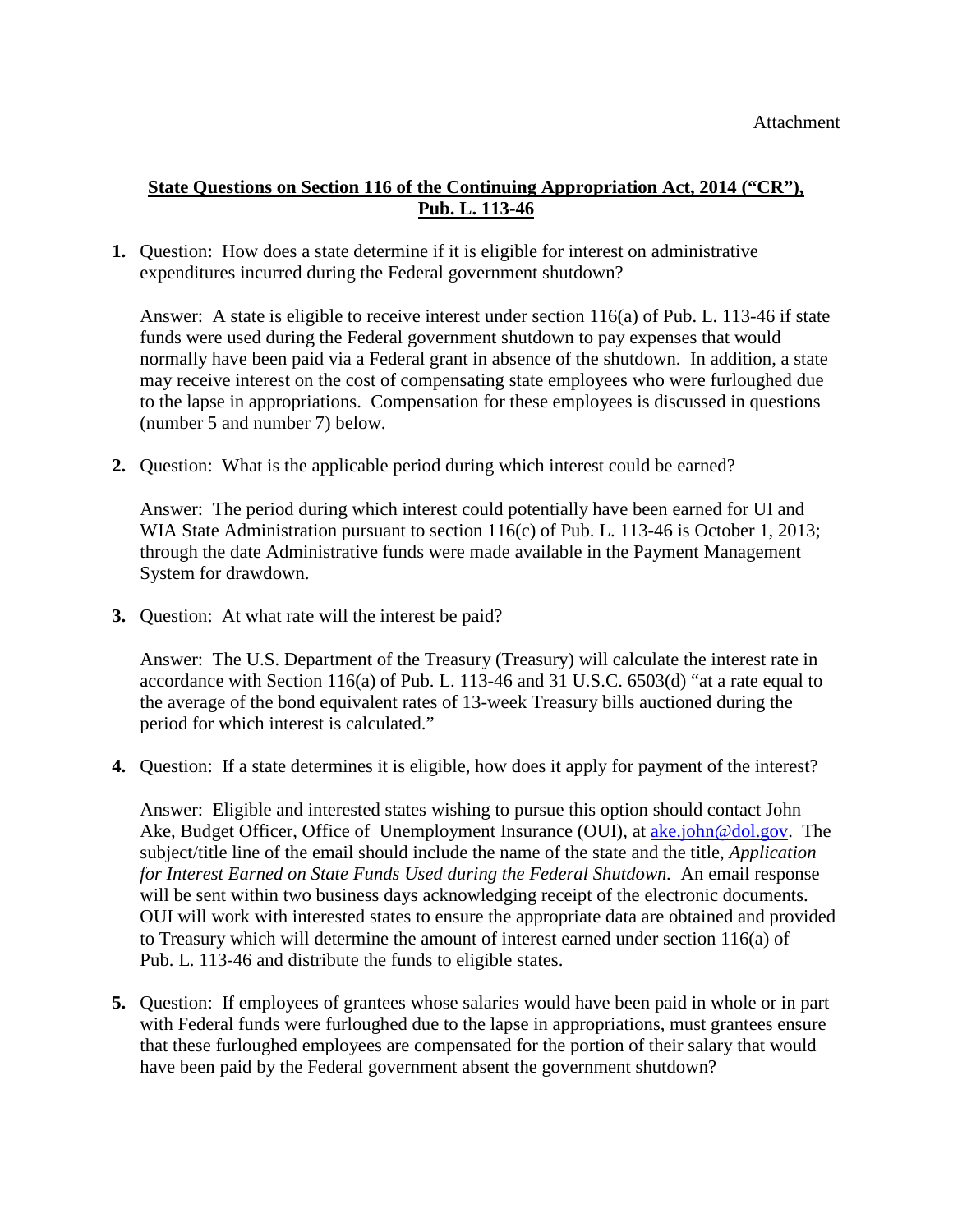## **State Questions on Section 116 of the Continuing Appropriation Act, 2014 ("CR"), Pub. L. 113-46**

**1.** Question: How does a state determine if it is eligible for interest on administrative expenditures incurred during the Federal government shutdown?

Answer: A state is eligible to receive interest under section 116(a) of Pub. L. 113-46 if state funds were used during the Federal government shutdown to pay expenses that would normally have been paid via a Federal grant in absence of the shutdown. In addition, a state may receive interest on the cost of compensating state employees who were furloughed due to the lapse in appropriations. Compensation for these employees is discussed in questions (number 5 and number 7) below.

**2.** Question: What is the applicable period during which interest could be earned?

Answer: The period during which interest could potentially have been earned for UI and WIA State Administration pursuant to section 116(c) of Pub. L. 113-46 is October 1, 2013; through the date Administrative funds were made available in the Payment Management System for drawdown.

**3.** Question: At what rate will the interest be paid?

Answer: The U.S. Department of the Treasury (Treasury) will calculate the interest rate in accordance with Section 116(a) of Pub. L. 113-46 and 31 U.S.C. 6503(d) "at a rate equal to the average of the bond equivalent rates of 13-week Treasury bills auctioned during the period for which interest is calculated."

**4.** Question: If a state determines it is eligible, how does it apply for payment of the interest?

Answer: Eligible and interested states wishing to pursue this option should contact John Ake, Budget Officer, Office of Unemployment Insurance (OUI), at ake john@dol.gov. The subject/title line of the email should include the name of the state and the title, *Application for Interest Earned on State Funds Used during the Federal Shutdown.* An email response will be sent within two business days acknowledging receipt of the electronic documents. OUI will work with interested states to ensure the appropriate data are obtained and provided to Treasury which will determine the amount of interest earned under section 116(a) of Pub. L. 113-46 and distribute the funds to eligible states.

**5.** Question: If employees of grantees whose salaries would have been paid in whole or in part with Federal funds were furloughed due to the lapse in appropriations, must grantees ensure that these furloughed employees are compensated for the portion of their salary that would have been paid by the Federal government absent the government shutdown?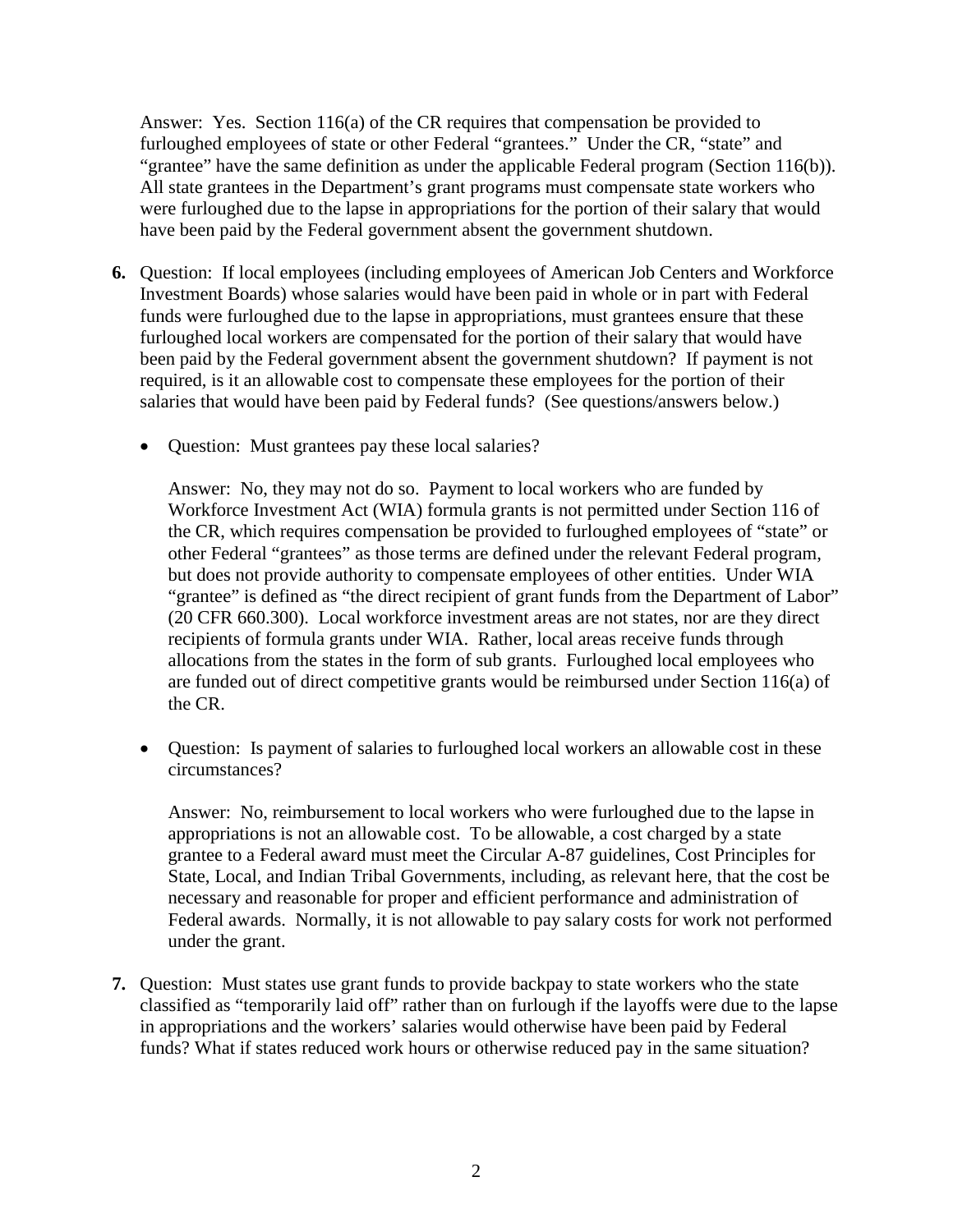Answer: Yes. Section 116(a) of the CR requires that compensation be provided to furloughed employees of state or other Federal "grantees." Under the CR, "state" and "grantee" have the same definition as under the applicable Federal program (Section 116(b)). All state grantees in the Department's grant programs must compensate state workers who were furloughed due to the lapse in appropriations for the portion of their salary that would have been paid by the Federal government absent the government shutdown.

- **6.** Question: If local employees (including employees of American Job Centers and Workforce Investment Boards) whose salaries would have been paid in whole or in part with Federal funds were furloughed due to the lapse in appropriations, must grantees ensure that these furloughed local workers are compensated for the portion of their salary that would have been paid by the Federal government absent the government shutdown? If payment is not required, is it an allowable cost to compensate these employees for the portion of their salaries that would have been paid by Federal funds? (See questions/answers below.)
	- Question: Must grantees pay these local salaries?

Answer: No, they may not do so. Payment to local workers who are funded by Workforce Investment Act (WIA) formula grants is not permitted under Section 116 of the CR, which requires compensation be provided to furloughed employees of "state" or other Federal "grantees" as those terms are defined under the relevant Federal program, but does not provide authority to compensate employees of other entities. Under WIA "grantee" is defined as "the direct recipient of grant funds from the Department of Labor" (20 CFR 660.300). Local workforce investment areas are not states, nor are they direct recipients of formula grants under WIA. Rather, local areas receive funds through allocations from the states in the form of sub grants. Furloughed local employees who are funded out of direct competitive grants would be reimbursed under Section 116(a) of the CR.

• Ouestion: Is payment of salaries to furloughed local workers an allowable cost in these circumstances?

Answer: No, reimbursement to local workers who were furloughed due to the lapse in appropriations is not an allowable cost. To be allowable, a cost charged by a state grantee to a Federal award must meet the Circular A-87 guidelines, Cost Principles for State, Local, and Indian Tribal Governments, including, as relevant here, that the cost be necessary and reasonable for proper and efficient performance and administration of Federal awards. Normally, it is not allowable to pay salary costs for work not performed under the grant.

**7.** Question: Must states use grant funds to provide backpay to state workers who the state classified as "temporarily laid off" rather than on furlough if the layoffs were due to the lapse in appropriations and the workers' salaries would otherwise have been paid by Federal funds? What if states reduced work hours or otherwise reduced pay in the same situation?